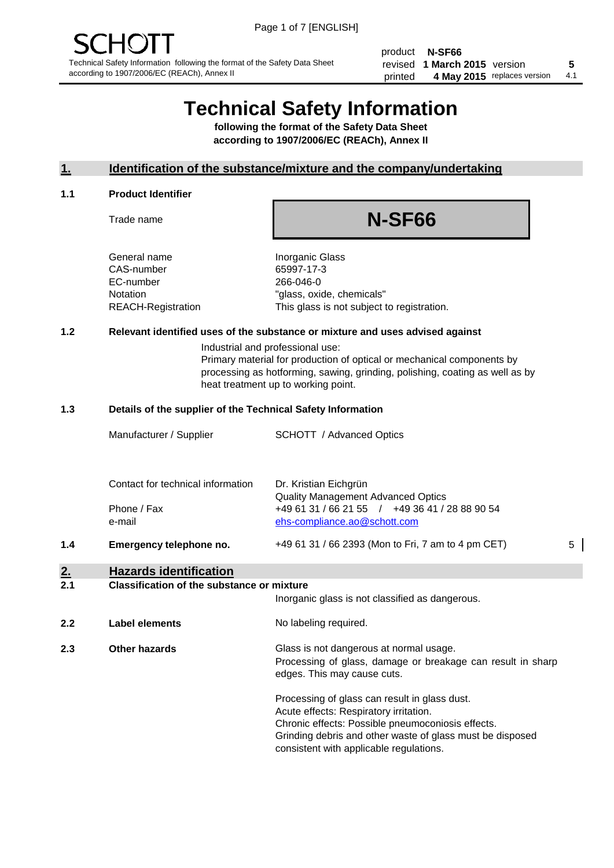product **N-SF66** revised **5 1 March 2015** version printed 4 May 2015 replaces version 4.1

# **Technical Safety Information**

**following the format of the Safety Data Sheet according to 1907/2006/EC (REACh), Annex II**

# **1. Identification of the substance/mixture and the company/undertaking**

#### **1.1 Product Identifier**

Trade name

# **N-SF66**

General name **Inorganic Glass** CAS-number 65997-17-3 EC-number 266-046-0

Notation "glass, oxide, chemicals" REACH-Registration This glass is not subject to registration.

# **1.2 Relevant identified uses of the substance or mixture and uses advised against**

Industrial and professional use: Primary material for production of optical or mechanical components by processing as hotforming, sawing, grinding, polishing, coating as well as by heat treatment up to working point.

#### **1.3 Details of the supplier of the Technical Safety Information**

|     | Manufacturer / Supplier                          | <b>SCHOTT</b> / Advanced Optics                                                                                      |   |
|-----|--------------------------------------------------|----------------------------------------------------------------------------------------------------------------------|---|
|     | Contact for technical information<br>Phone / Fax | Dr. Kristian Eichgrün<br><b>Quality Management Advanced Optics</b><br>+49 61 31 / 66 21 55 / +49 36 41 / 28 88 90 54 |   |
| 1.4 | e-mail<br>Emergency telephone no.                | ehs-compliance.ao@schott.com<br>+49 61 31 / 66 2393 (Mon to Fri, 7 am to 4 pm CET)                                   | 5 |
| 2.  | <b>Hazards identification</b>                    |                                                                                                                      |   |

#### **2.1 Classification of the substance or mixture**

|     |                | Inorganic glass is not classified as dangerous.                                                                                                                                                                                                      |
|-----|----------------|------------------------------------------------------------------------------------------------------------------------------------------------------------------------------------------------------------------------------------------------------|
| 2.2 | Label elements | No labeling required.                                                                                                                                                                                                                                |
| 2.3 | Other hazards  | Glass is not dangerous at normal usage.<br>Processing of glass, damage or breakage can result in sharp<br>edges. This may cause cuts.                                                                                                                |
|     |                | Processing of glass can result in glass dust.<br>Acute effects: Respiratory irritation.<br>Chronic effects: Possible pneumoconiosis effects.<br>Grinding debris and other waste of glass must be disposed<br>consistent with applicable regulations. |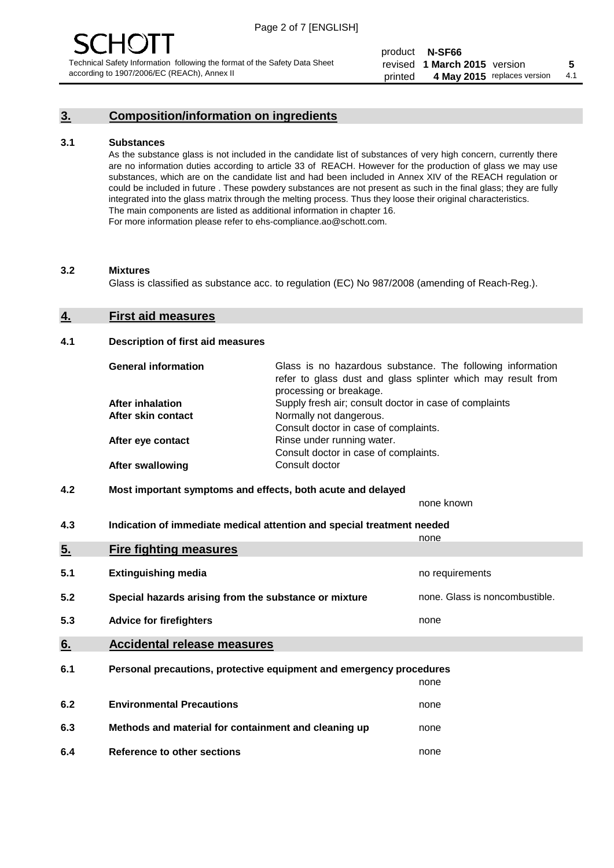# **3. Composition/information on ingredients**

#### **3.1 Substances**

As the substance glass is not included in the candidate list of substances of very high concern, currently there are no information duties according to article 33 of REACH. However for the production of glass we may use substances, which are on the candidate list and had been included in Annex XIV of the REACH regulation or could be included in future . These powdery substances are not present as such in the final glass; they are fully integrated into the glass matrix through the melting process. Thus they loose their original characteristics. The main components are listed as additional information in chapter 16. For more information please refer to ehs-compliance.ao@schott.com.

#### **3.2 Mixtures**

Glass is classified as substance acc. to regulation (EC) No 987/2008 (amending of Reach-Reg.).

#### **4. First aid measures**

#### **4.1 Description of first aid measures**

| <b>General information</b> | Glass is no hazardous substance. The following information<br>refer to glass dust and glass splinter which may result from<br>processing or breakage. |
|----------------------------|-------------------------------------------------------------------------------------------------------------------------------------------------------|
| After inhalation           | Supply fresh air; consult doctor in case of complaints                                                                                                |
| After skin contact         | Normally not dangerous.                                                                                                                               |
|                            | Consult doctor in case of complaints.                                                                                                                 |
| After eye contact          | Rinse under running water.                                                                                                                            |
|                            | Consult doctor in case of complaints.                                                                                                                 |
| <b>After swallowing</b>    | Consult doctor                                                                                                                                        |

### **4.2 Most important symptoms and effects, both acute and delayed**

none known

**4.3 Indication of immediate medical attention and special treatment needed** 

|     |                                                                     | none                           |
|-----|---------------------------------------------------------------------|--------------------------------|
| 5.  | <b>Fire fighting measures</b>                                       |                                |
| 5.1 | <b>Extinguishing media</b>                                          | no requirements                |
| 5.2 | Special hazards arising from the substance or mixture               | none. Glass is noncombustible. |
| 5.3 | <b>Advice for firefighters</b>                                      | none                           |
| 6.  | <b>Accidental release measures</b>                                  |                                |
| 6.1 | Personal precautions, protective equipment and emergency procedures |                                |
|     |                                                                     | none                           |
| 6.2 | <b>Environmental Precautions</b>                                    | none                           |
| 6.3 | Methods and material for containment and cleaning up                | none                           |
| 6.4 | Reference to other sections                                         | none                           |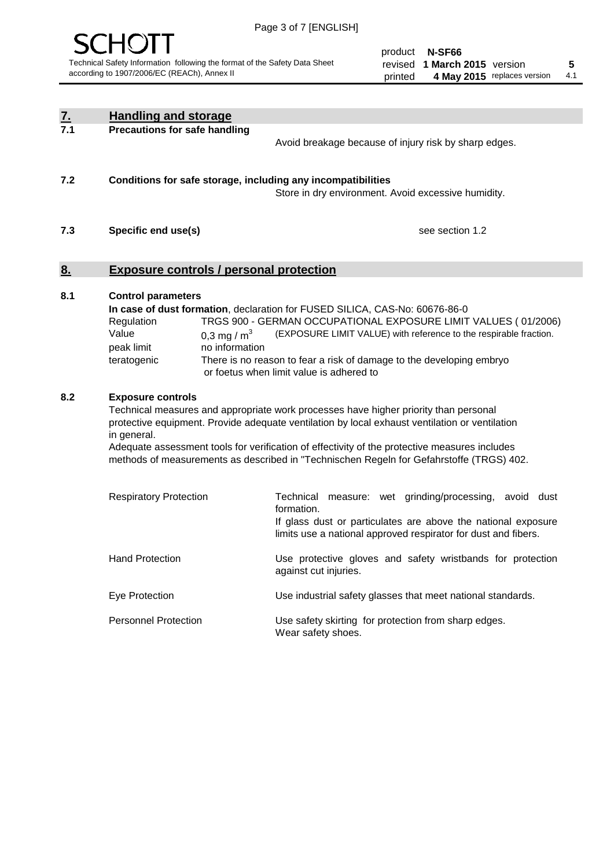

product **N-SF66** revised **5 1 March 2015** version printed 4 May 2015 replaces version 4.1

| <u>7.</u><br>7.1 | <b>Handling and storage</b>                                                                                                                                                                                                                                                                                                                                                                                                    |                                                                                                                                                                                                                                                                                                                                        |
|------------------|--------------------------------------------------------------------------------------------------------------------------------------------------------------------------------------------------------------------------------------------------------------------------------------------------------------------------------------------------------------------------------------------------------------------------------|----------------------------------------------------------------------------------------------------------------------------------------------------------------------------------------------------------------------------------------------------------------------------------------------------------------------------------------|
|                  | <b>Precautions for safe handling</b>                                                                                                                                                                                                                                                                                                                                                                                           | Avoid breakage because of injury risk by sharp edges.                                                                                                                                                                                                                                                                                  |
| 7.2              | Conditions for safe storage, including any incompatibilities                                                                                                                                                                                                                                                                                                                                                                   | Store in dry environment. Avoid excessive humidity.                                                                                                                                                                                                                                                                                    |
| 7.3              | Specific end use(s)                                                                                                                                                                                                                                                                                                                                                                                                            | see section 1.2                                                                                                                                                                                                                                                                                                                        |
| <u>8.</u>        | <b>Exposure controls / personal protection</b>                                                                                                                                                                                                                                                                                                                                                                                 |                                                                                                                                                                                                                                                                                                                                        |
| 8.1              | <b>Control parameters</b><br>Regulation<br>Value<br>0,3 mg / $m3$<br>peak limit<br>no information<br>teratogenic                                                                                                                                                                                                                                                                                                               | In case of dust formation, declaration for FUSED SILICA, CAS-No: 60676-86-0<br>TRGS 900 - GERMAN OCCUPATIONAL EXPOSURE LIMIT VALUES (01/2006)<br>(EXPOSURE LIMIT VALUE) with reference to the respirable fraction.<br>There is no reason to fear a risk of damage to the developing embryo<br>or foetus when limit value is adhered to |
| 8.2              | <b>Exposure controls</b><br>Technical measures and appropriate work processes have higher priority than personal<br>protective equipment. Provide adequate ventilation by local exhaust ventilation or ventilation<br>in general.<br>Adequate assessment tools for verification of effectivity of the protective measures includes<br>methods of measurements as described in "Technischen Regeln for Gefahrstoffe (TRGS) 402. |                                                                                                                                                                                                                                                                                                                                        |
|                  | <b>Respiratory Protection</b>                                                                                                                                                                                                                                                                                                                                                                                                  | Technical measure: wet grinding/processing, avoid dust<br>formation.<br>If glass dust or particulates are above the national exposure<br>limits use a national approved respirator for dust and fibers.                                                                                                                                |
|                  | <b>Hand Protection</b>                                                                                                                                                                                                                                                                                                                                                                                                         | Use protective gloves and safety wristbands for protection<br>against cut injuries.                                                                                                                                                                                                                                                    |
|                  | Eye Protection                                                                                                                                                                                                                                                                                                                                                                                                                 | Use industrial safety glasses that meet national standards.                                                                                                                                                                                                                                                                            |
|                  | <b>Personnel Protection</b>                                                                                                                                                                                                                                                                                                                                                                                                    | Use safety skirting for protection from sharp edges.<br>Wear safety shoes.                                                                                                                                                                                                                                                             |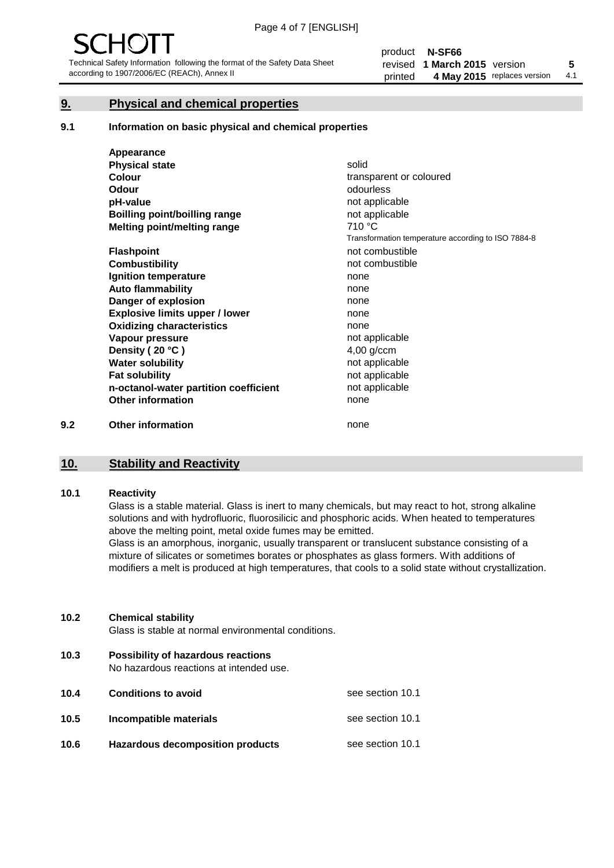# **9. Physical and chemical properties**

#### **9.1 Information on basic physical and chemical properties**

|     | Appearance                            |                                                    |
|-----|---------------------------------------|----------------------------------------------------|
|     | <b>Physical state</b>                 | solid                                              |
|     | <b>Colour</b>                         | transparent or coloured                            |
|     | Odour                                 | odourless                                          |
|     | pH-value                              | not applicable                                     |
|     | Boilling point/boilling range         | not applicable                                     |
|     | Melting point/melting range           | 710 °C                                             |
|     |                                       | Transformation temperature according to ISO 7884-8 |
|     | <b>Flashpoint</b>                     | not combustible                                    |
|     | <b>Combustibility</b>                 | not combustible                                    |
|     | Ignition temperature                  | none                                               |
|     | <b>Auto flammability</b>              | none                                               |
|     | Danger of explosion                   | none                                               |
|     | <b>Explosive limits upper / lower</b> | none                                               |
|     | <b>Oxidizing characteristics</b>      | none                                               |
|     | Vapour pressure                       | not applicable                                     |
|     | Density (20 °C)                       | $4,00$ g/ccm                                       |
|     | <b>Water solubility</b>               | not applicable                                     |
|     | <b>Fat solubility</b>                 | not applicable                                     |
|     | n-octanol-water partition coefficient | not applicable                                     |
|     | <b>Other information</b>              | none                                               |
| 9.2 | <b>Other information</b>              | none                                               |

# **10. Stability and Reactivity**

# **10.1 Reactivity**

Glass is a stable material. Glass is inert to many chemicals, but may react to hot, strong alkaline solutions and with hydrofluoric, fluorosilicic and phosphoric acids. When heated to temperatures above the melting point, metal oxide fumes may be emitted.

Glass is an amorphous, inorganic, usually transparent or translucent substance consisting of a mixture of silicates or sometimes borates or phosphates as glass formers. With additions of modifiers a melt is produced at high temperatures, that cools to a solid state without crystallization.

#### **10.2 Chemical stability**

Glass is stable at normal environmental conditions.

**10.3 Possibility of hazardous reactions** 

No hazardous reactions at intended use.

| 10.4 | <b>Conditions to avoid</b>              | see section 10.1 |
|------|-----------------------------------------|------------------|
| 10.5 | Incompatible materials                  | see section 10.1 |
| 10.6 | <b>Hazardous decomposition products</b> | see section 10.1 |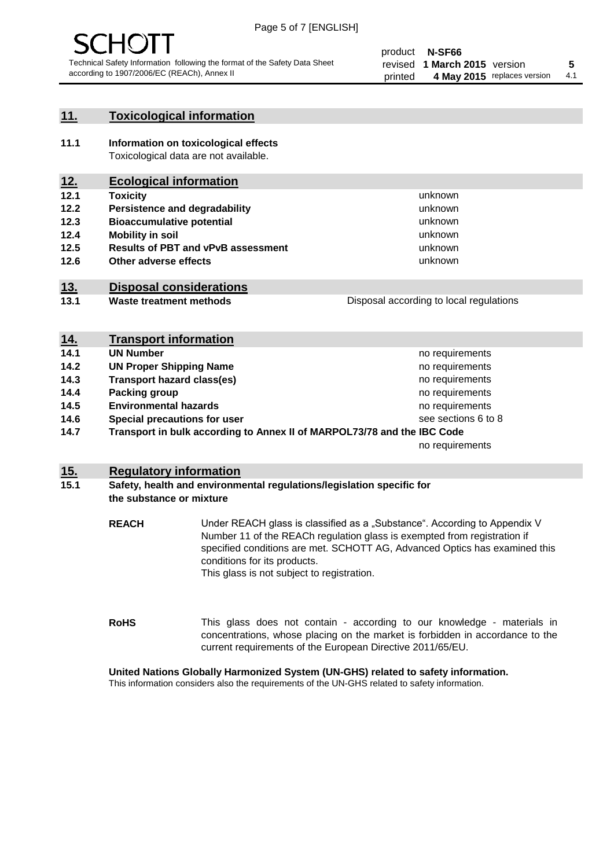

# **11. Toxicological information**

**11.1 Information on toxicological effects** Toxicological data are not available.

# **12. Ecological information**

- **12.1 Toxicity**
- **12.2 Persistence and degradability**
- **12.3 Bioaccumulative potential**
- **12.4 Mobility in soil**
- **12.5 Results of PBT and vPvB assessment**
- **12.6 Other adverse effects**

# **13. Disposal considerations**

**13.1 Waste treatment methods**

Disposal according to local regulations

unknown unknown unknown unknown

unknown unknown

| <u>14.</u> | <b>Transport information</b>                                            |                     |
|------------|-------------------------------------------------------------------------|---------------------|
| 14.1       | <b>UN Number</b>                                                        | no requirements     |
| 14.2       | <b>UN Proper Shipping Name</b>                                          | no requirements     |
| 14.3       | <b>Transport hazard class(es)</b>                                       | no requirements     |
| 14.4       | Packing group                                                           | no requirements     |
| 14.5       | <b>Environmental hazards</b>                                            | no requirements     |
| 14.6       | Special precautions for user                                            | see sections 6 to 8 |
| 14.7       | Transport in bulk according to Annex II of MARPOL73/78 and the IBC Code |                     |
|            |                                                                         | no requirements     |

# **15. Regulatory information**

### **15.1 Safety, health and environmental regulations/legislation specific for the substance or mixture**

**REACH** Under REACH glass is classified as a "Substance". According to Appendix V Number 11 of the REACh regulation glass is exempted from registration if specified conditions are met. SCHOTT AG, Advanced Optics has examined this conditions for its products. This glass is not subject to registration.

**RoHS** This glass does not contain - according to our knowledge - materials in concentrations, whose placing on the market is forbidden in accordance to the current requirements of the European Directive 2011/65/EU.

#### **United Nations Globally Harmonized System (UN-GHS) related to safety information.**

This information considers also the requirements of the UN-GHS related to safety information.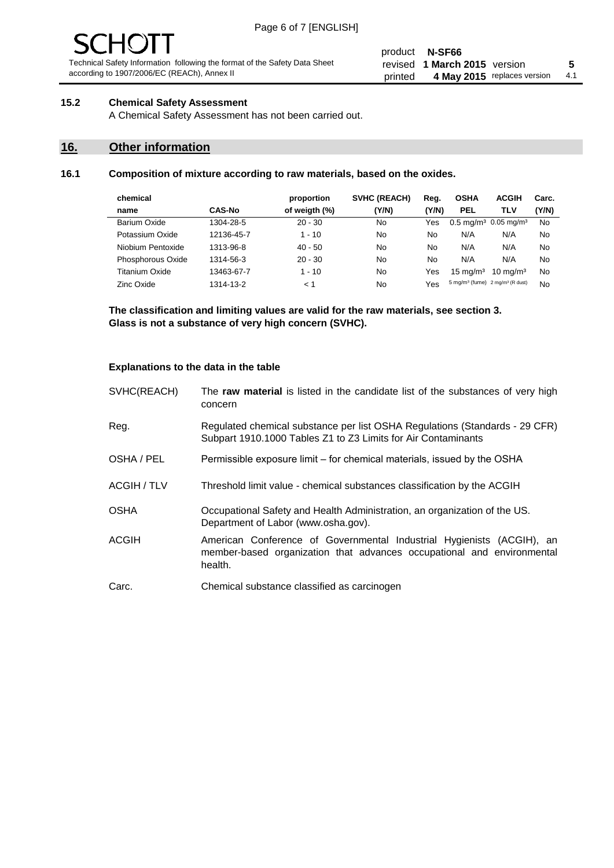#### product **N-SF66** revised **5 1 March 2015** version printed 4 May 2015 replaces version 4.1

# **15.2 Chemical Safety Assessment**

A Chemical Safety Assessment has not been carried out.

# **16. Other information**

### **16.1 Composition of mixture according to raw materials, based on the oxides.**

| chemical          |               | proportion    | <b>SVHC (REACH)</b> | Reg.  | <b>OSHA</b>                                             | <b>ACGIH</b>        | Carc. |
|-------------------|---------------|---------------|---------------------|-------|---------------------------------------------------------|---------------------|-------|
| name              | <b>CAS-No</b> | of weigth (%) | (Y/N)               | (Y/N) | <b>PEL</b>                                              | TLV                 | (Y/N) |
| Barium Oxide      | 1304-28-5     | $20 - 30$     | No                  | Yes   | $0.5 \text{ mg/m}^3$ 0.05 mg/m <sup>3</sup>             |                     | No    |
| Potassium Oxide   | 12136-45-7    | $1 - 10$      | No                  | No    | N/A                                                     | N/A                 | No    |
| Niobium Pentoxide | 1313-96-8     | $40 - 50$     | No                  | No    | N/A                                                     | N/A                 | No    |
| Phosphorous Oxide | 1314-56-3     | $20 - 30$     | No                  | No    | N/A                                                     | N/A                 | No    |
| Titanium Oxide    | 13463-67-7    | $1 - 10$      | No                  | Yes   | $15 \text{ mg/m}^3$                                     | $10 \text{ mg/m}^3$ | No    |
| <b>Zinc Oxide</b> | 1314-13-2     | < 1           | No                  | Yes   | 5 mg/m <sup>3</sup> (fume) 2 mg/m <sup>3</sup> (R dust) |                     | No    |

**The classification and limiting values are valid for the raw materials, see section 3. Glass is not a substance of very high concern (SVHC).**

### **Explanations to the data in the table**

| SVHC(REACH)        | The raw material is listed in the candidate list of the substances of very high<br>concern                                                                 |
|--------------------|------------------------------------------------------------------------------------------------------------------------------------------------------------|
| Reg.               | Regulated chemical substance per list OSHA Regulations (Standards - 29 CFR)<br>Subpart 1910.1000 Tables Z1 to Z3 Limits for Air Contaminants               |
| OSHA / PEL         | Permissible exposure limit – for chemical materials, issued by the OSHA                                                                                    |
| <b>ACGIH / TLV</b> | Threshold limit value - chemical substances classification by the ACGIH                                                                                    |
| <b>OSHA</b>        | Occupational Safety and Health Administration, an organization of the US.<br>Department of Labor (www.osha.gov).                                           |
| <b>ACGIH</b>       | American Conference of Governmental Industrial Hygienists (ACGIH), an<br>member-based organization that advances occupational and environmental<br>health. |
| Carc.              | Chemical substance classified as carcinogen                                                                                                                |